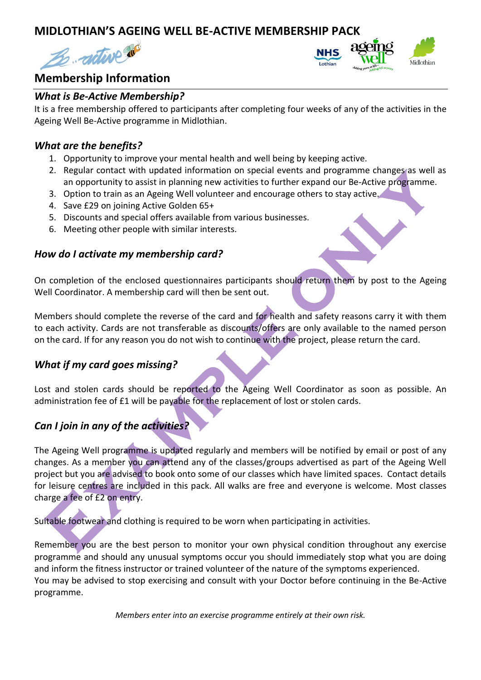## **MIDLOTHIAN'S AGEING WELL BE-ACTIVE MEMBERSHIP PACK**





# **Membership Information**

#### *What is Be-Active Membership?*

It is a free membership offered to participants after completing four weeks of any of the activities in the Ageing Well Be-Active programme in Midlothian.

#### *What are the benefits?*

- 1. Opportunity to improve your mental health and well being by keeping active.
- 2. Regular contact with updated information on special events and programme changes as well as an opportunity to assist in planning new activities to further expand our Be-Active programme.
- 3. Option to train as an Ageing Well volunteer and encourage others to stay active.
- 4. Save £29 on joining Active Golden 65+
- 5. Discounts and special offers available from various businesses.
- 6. Meeting other people with similar interests.

#### *How do I activate my membership card?*

On completion of the enclosed questionnaires participants should return them by post to the Ageing Well Coordinator. A membership card will then be sent out.

Members should complete the reverse of the card and for health and safety reasons carry it with them to each activity. Cards are not transferable as discounts/offers are only available to the named person on the card. If for any reason you do not wish to continue with the project, please return the card.

#### *What if my card goes missing?*

Lost and stolen cards should be reported to the Ageing Well Coordinator as soon as possible. An administration fee of £1 will be payable for the replacement of lost or stolen cards.

#### *Can I join in any of the activities?*

The Ageing Well programme is updated regularly and members will be notified by email or post of any changes. As a member you can attend any of the classes/groups advertised as part of the Ageing Well project but you are advised to book onto some of our classes which have limited spaces. Contact details for leisure centres are included in this pack. All walks are free and everyone is welcome. Most classes charge a fee of £2 on entry.

Suitable footwear and clothing is required to be worn when participating in activities.

Remember you are the best person to monitor your own physical condition throughout any exercise programme and should any unusual symptoms occur you should immediately stop what you are doing and inform the fitness instructor or trained volunteer of the nature of the symptoms experienced. You may be advised to stop exercising and consult with your Doctor before continuing in the Be-Active programme.

*Members enter into an exercise programme entirely at their own risk.*